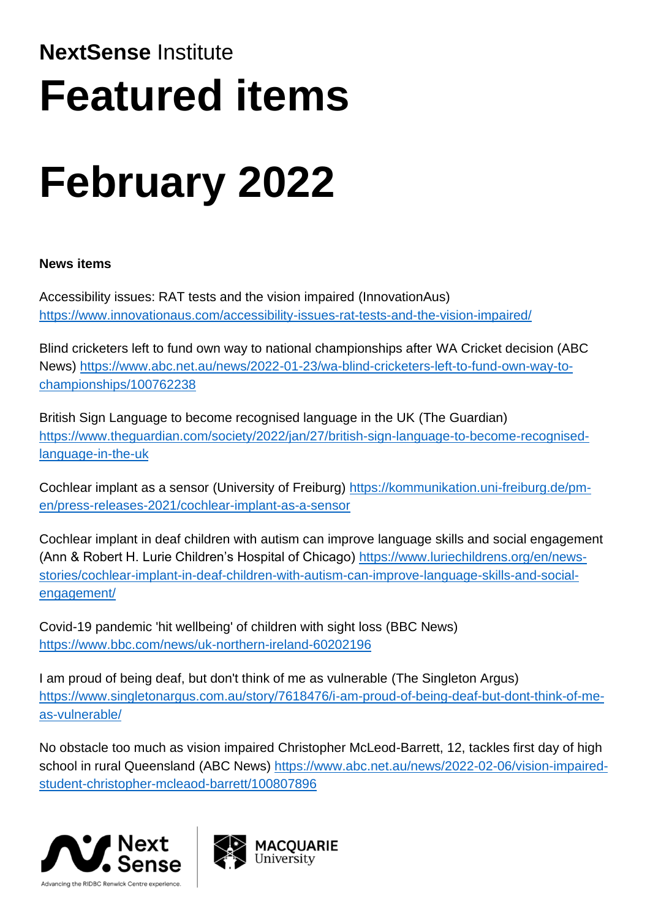# **NextSense** Institute **Featured items**

# **February 2022**

# **News items**

Accessibility issues: RAT tests and the vision impaired (InnovationAus) <https://www.innovationaus.com/accessibility-issues-rat-tests-and-the-vision-impaired/>

Blind cricketers left to fund own way to national championships after WA Cricket decision (ABC News) [https://www.abc.net.au/news/2022-01-23/wa-blind-cricketers-left-to-fund-own-way-to](https://www.abc.net.au/news/2022-01-23/wa-blind-cricketers-left-to-fund-own-way-to-championships/100762238)[championships/100762238](https://www.abc.net.au/news/2022-01-23/wa-blind-cricketers-left-to-fund-own-way-to-championships/100762238)

British Sign Language to become recognised language in the UK (The Guardian) [https://www.theguardian.com/society/2022/jan/27/british-sign-language-to-become-recognised](https://www.theguardian.com/society/2022/jan/27/british-sign-language-to-become-recognised-language-in-the-uk)[language-in-the-uk](https://www.theguardian.com/society/2022/jan/27/british-sign-language-to-become-recognised-language-in-the-uk)

Cochlear implant as a sensor (University of Freiburg) [https://kommunikation.uni-freiburg.de/pm](https://kommunikation.uni-freiburg.de/pm-en/press-releases-2021/cochlear-implant-as-a-sensor)[en/press-releases-2021/cochlear-implant-as-a-sensor](https://kommunikation.uni-freiburg.de/pm-en/press-releases-2021/cochlear-implant-as-a-sensor)

Cochlear implant in deaf children with autism can improve language skills and social engagement (Ann & Robert H. Lurie Children's Hospital of Chicago) [https://www.luriechildrens.org/en/news](https://www.luriechildrens.org/en/news-stories/cochlear-implant-in-deaf-children-with-autism-can-improve-language-skills-and-social-engagement/)[stories/cochlear-implant-in-deaf-children-with-autism-can-improve-language-skills-and-social](https://www.luriechildrens.org/en/news-stories/cochlear-implant-in-deaf-children-with-autism-can-improve-language-skills-and-social-engagement/)[engagement/](https://www.luriechildrens.org/en/news-stories/cochlear-implant-in-deaf-children-with-autism-can-improve-language-skills-and-social-engagement/)

Covid-19 pandemic 'hit wellbeing' of children with sight loss (BBC News) <https://www.bbc.com/news/uk-northern-ireland-60202196>

I am proud of being deaf, but don't think of me as vulnerable (The Singleton Argus) [https://www.singletonargus.com.au/story/7618476/i-am-proud-of-being-deaf-but-dont-think-of-me](https://www.singletonargus.com.au/story/7618476/i-am-proud-of-being-deaf-but-dont-think-of-me-as-vulnerable/)[as-vulnerable/](https://www.singletonargus.com.au/story/7618476/i-am-proud-of-being-deaf-but-dont-think-of-me-as-vulnerable/)

No obstacle too much as vision impaired Christopher McLeod-Barrett, 12, tackles first day of high school in rural Queensland (ABC News) [https://www.abc.net.au/news/2022-02-06/vision-impaired](https://www.abc.net.au/news/2022-02-06/vision-impaired-student-christopher-mcleaod-barrett/100807896)[student-christopher-mcleaod-barrett/100807896](https://www.abc.net.au/news/2022-02-06/vision-impaired-student-christopher-mcleaod-barrett/100807896)



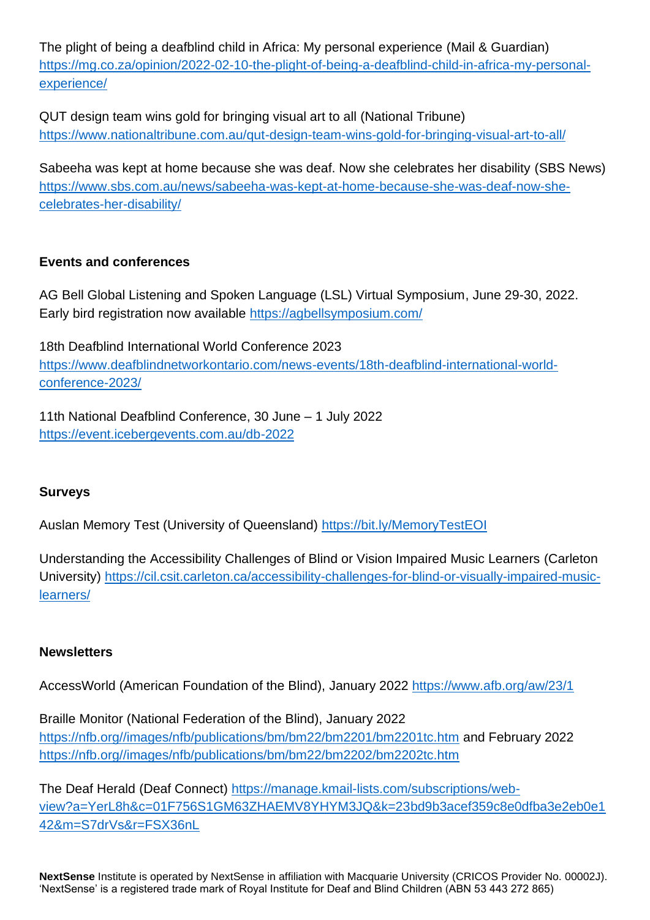The plight of being a deafblind child in Africa: My personal experience (Mail & Guardian) [https://mg.co.za/opinion/2022-02-10-the-plight-of-being-a-deafblind-child-in-africa-my-personal](https://mg.co.za/opinion/2022-02-10-the-plight-of-being-a-deafblind-child-in-africa-my-personal-experience/)[experience/](https://mg.co.za/opinion/2022-02-10-the-plight-of-being-a-deafblind-child-in-africa-my-personal-experience/)

QUT design team wins gold for bringing visual art to all (National Tribune) <https://www.nationaltribune.com.au/qut-design-team-wins-gold-for-bringing-visual-art-to-all/>

Sabeeha was kept at home because she was deaf. Now she celebrates her disability (SBS News) [https://www.sbs.com.au/news/sabeeha-was-kept-at-home-because-she-was-deaf-now-she](https://www.sbs.com.au/news/sabeeha-was-kept-at-home-because-she-was-deaf-now-she-celebrates-her-disability/)[celebrates-her-disability/](https://www.sbs.com.au/news/sabeeha-was-kept-at-home-because-she-was-deaf-now-she-celebrates-her-disability/)

### **Events and conferences**

AG Bell Global Listening and Spoken Language (LSL) Virtual Symposium, June 29-30, 2022. Early bird registration now available <https://agbellsymposium.com/>

18th Deafblind International World Conference 2023 [https://www.deafblindnetworkontario.com/news-events/18th-deafblind-international-world](https://www.deafblindnetworkontario.com/news-events/18th-deafblind-international-world-conference-2023/)[conference-2023/](https://www.deafblindnetworkontario.com/news-events/18th-deafblind-international-world-conference-2023/)

11th National Deafblind Conference, 30 June – 1 July 2022 <https://event.icebergevents.com.au/db-2022>

# **Surveys**

Auslan Memory Test (University of Queensland)<https://bit.ly/MemoryTestEOI>

Understanding the Accessibility Challenges of Blind or Vision Impaired Music Learners (Carleton University) [https://cil.csit.carleton.ca/accessibility-challenges-for-blind-or-visually-impaired-music](https://cil.csit.carleton.ca/accessibility-challenges-for-blind-or-visually-impaired-music-learners/)[learners/](https://cil.csit.carleton.ca/accessibility-challenges-for-blind-or-visually-impaired-music-learners/)

#### **Newsletters**

AccessWorld (American Foundation of the Blind), January 2022 <https://www.afb.org/aw/23/1>

Braille Monitor (National Federation of the Blind), January 2022 [https://nfb.org//images/nfb/publications/bm/bm22/bm2201/bm2201tc.htm](https://nfb.org/images/nfb/publications/bm/bm22/bm2201/bm2201tc.htm) and February 2022 [https://nfb.org//images/nfb/publications/bm/bm22/bm2202/bm2202tc.htm](https://nfb.org/images/nfb/publications/bm/bm22/bm2202/bm2202tc.htm)

The Deaf Herald (Deaf Connect) [https://manage.kmail-lists.com/subscriptions/web](https://manage.kmail-lists.com/subscriptions/web-view?a=YerL8h&c=01F756S1GM63ZHAEMV8YHYM3JQ&k=23bd9b3acef359c8e0dfba3e2eb0e142&m=S7drVs&r=FSX36nL)[view?a=YerL8h&c=01F756S1GM63ZHAEMV8YHYM3JQ&k=23bd9b3acef359c8e0dfba3e2eb0e1](https://manage.kmail-lists.com/subscriptions/web-view?a=YerL8h&c=01F756S1GM63ZHAEMV8YHYM3JQ&k=23bd9b3acef359c8e0dfba3e2eb0e142&m=S7drVs&r=FSX36nL) [42&m=S7drVs&r=FSX36nL](https://manage.kmail-lists.com/subscriptions/web-view?a=YerL8h&c=01F756S1GM63ZHAEMV8YHYM3JQ&k=23bd9b3acef359c8e0dfba3e2eb0e142&m=S7drVs&r=FSX36nL)

**NextSense** Institute is operated by NextSense in affiliation with Macquarie University (CRICOS Provider No. 00002J). 'NextSense' is a registered trade mark of Royal Institute for Deaf and Blind Children (ABN 53 443 272 865)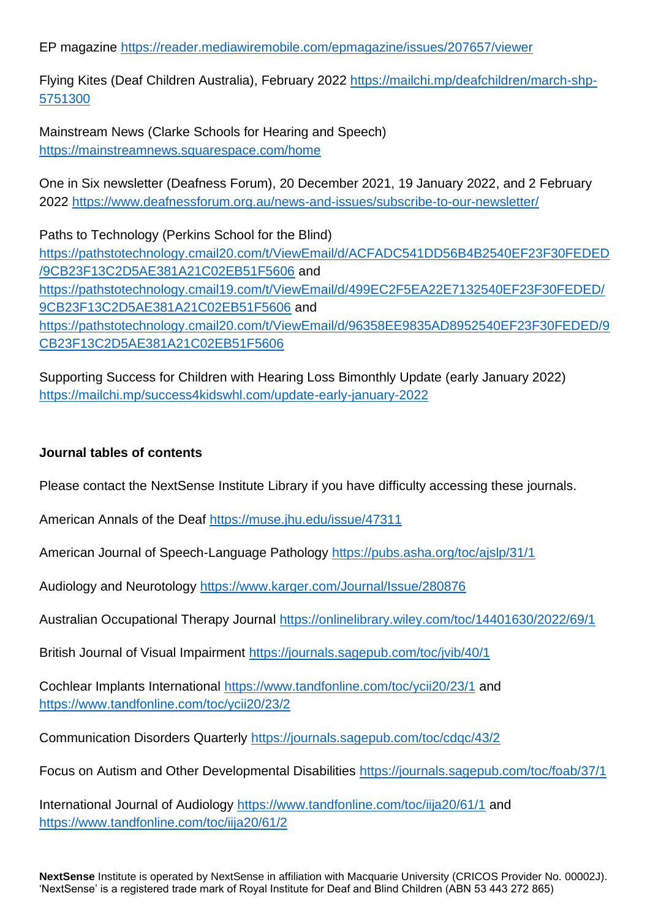EP magazine <https://reader.mediawiremobile.com/epmagazine/issues/207657/viewer>

Flying Kites (Deaf Children Australia), February 2022 [https://mailchi.mp/deafchildren/march-shp-](https://mailchi.mp/deafchildren/march-shp-5751300)[5751300](https://mailchi.mp/deafchildren/march-shp-5751300)

Mainstream News (Clarke Schools for Hearing and Speech) <https://mainstreamnews.squarespace.com/home>

One in Six newsletter (Deafness Forum), 20 December 2021, 19 January 2022, and 2 February 2022 <https://www.deafnessforum.org.au/news-and-issues/subscribe-to-our-newsletter/>

Paths to Technology (Perkins School for the Blind) [https://pathstotechnology.cmail20.com/t/ViewEmail/d/ACFADC541DD56B4B2540EF23F30FEDED](https://pathstotechnology.cmail20.com/t/ViewEmail/d/ACFADC541DD56B4B2540EF23F30FEDED/9CB23F13C2D5AE381A21C02EB51F5606) [/9CB23F13C2D5AE381A21C02EB51F5606](https://pathstotechnology.cmail20.com/t/ViewEmail/d/ACFADC541DD56B4B2540EF23F30FEDED/9CB23F13C2D5AE381A21C02EB51F5606) and [https://pathstotechnology.cmail19.com/t/ViewEmail/d/499EC2F5EA22E7132540EF23F30FEDED/](https://pathstotechnology.cmail19.com/t/ViewEmail/d/499EC2F5EA22E7132540EF23F30FEDED/9CB23F13C2D5AE381A21C02EB51F5606) [9CB23F13C2D5AE381A21C02EB51F5606](https://pathstotechnology.cmail19.com/t/ViewEmail/d/499EC2F5EA22E7132540EF23F30FEDED/9CB23F13C2D5AE381A21C02EB51F5606) and [https://pathstotechnology.cmail20.com/t/ViewEmail/d/96358EE9835AD8952540EF23F30FEDED/9](https://pathstotechnology.cmail20.com/t/ViewEmail/d/96358EE9835AD8952540EF23F30FEDED/9CB23F13C2D5AE381A21C02EB51F5606) [CB23F13C2D5AE381A21C02EB51F5606](https://pathstotechnology.cmail20.com/t/ViewEmail/d/96358EE9835AD8952540EF23F30FEDED/9CB23F13C2D5AE381A21C02EB51F5606)

Supporting Success for Children with Hearing Loss Bimonthly Update (early January 2022) <https://mailchi.mp/success4kidswhl.com/update-early-january-2022>

#### **Journal tables of contents**

Please contact the NextSense Institute Library if you have difficulty accessing these journals.

American Annals of the Deaf <https://muse.jhu.edu/issue/47311>

American Journal of Speech-Language Pathology <https://pubs.asha.org/toc/ajslp/31/1>

Audiology and Neurotology <https://www.karger.com/Journal/Issue/280876>

Australian Occupational Therapy Journal <https://onlinelibrary.wiley.com/toc/14401630/2022/69/1>

British Journal of Visual Impairment <https://journals.sagepub.com/toc/jvib/40/1>

Cochlear Implants International <https://www.tandfonline.com/toc/ycii20/23/1> and <https://www.tandfonline.com/toc/ycii20/23/2>

Communication Disorders Quarterly <https://journals.sagepub.com/toc/cdqc/43/2>

Focus on Autism and Other Developmental Disabilities <https://journals.sagepub.com/toc/foab/37/1>

International Journal of Audiology <https://www.tandfonline.com/toc/iija20/61/1> and <https://www.tandfonline.com/toc/iija20/61/2>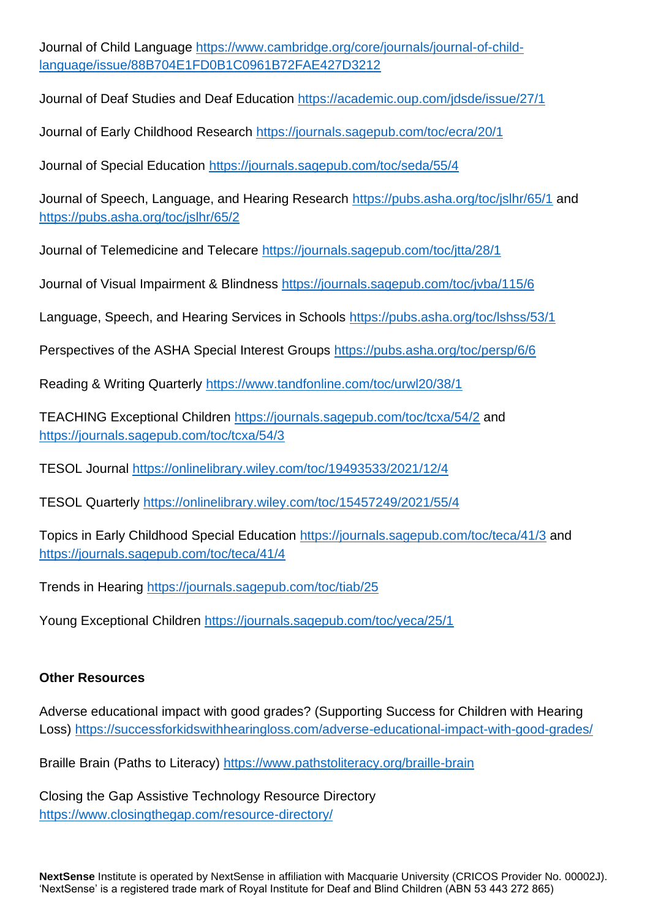Journal of Child Language [https://www.cambridge.org/core/journals/journal-of-child](https://www.cambridge.org/core/journals/journal-of-child-language/issue/88B704E1FD0B1C0961B72FAE427D3212)[language/issue/88B704E1FD0B1C0961B72FAE427D3212](https://www.cambridge.org/core/journals/journal-of-child-language/issue/88B704E1FD0B1C0961B72FAE427D3212)

Journal of Deaf Studies and Deaf Education <https://academic.oup.com/jdsde/issue/27/1>

Journal of Early Childhood Research <https://journals.sagepub.com/toc/ecra/20/1>

Journal of Special Education <https://journals.sagepub.com/toc/seda/55/4>

Journal of Speech, Language, and Hearing Research <https://pubs.asha.org/toc/jslhr/65/1> and <https://pubs.asha.org/toc/jslhr/65/2>

Journal of Telemedicine and Telecare <https://journals.sagepub.com/toc/jtta/28/1>

Journal of Visual Impairment & Blindness <https://journals.sagepub.com/toc/jvba/115/6>

Language, Speech, and Hearing Services in Schools <https://pubs.asha.org/toc/lshss/53/1>

Perspectives of the ASHA Special Interest Groups <https://pubs.asha.org/toc/persp/6/6>

Reading & Writing Quarterly <https://www.tandfonline.com/toc/urwl20/38/1>

TEACHING Exceptional Children <https://journals.sagepub.com/toc/tcxa/54/2> and <https://journals.sagepub.com/toc/tcxa/54/3>

TESOL Journal <https://onlinelibrary.wiley.com/toc/19493533/2021/12/4>

TESOL Quarterly <https://onlinelibrary.wiley.com/toc/15457249/2021/55/4>

Topics in Early Childhood Special Education <https://journals.sagepub.com/toc/teca/41/3> and <https://journals.sagepub.com/toc/teca/41/4>

Trends in Hearing <https://journals.sagepub.com/toc/tiab/25>

Young Exceptional Children <https://journals.sagepub.com/toc/yeca/25/1>

#### **Other Resources**

Adverse educational impact with good grades? (Supporting Success for Children with Hearing Loss)<https://successforkidswithhearingloss.com/adverse-educational-impact-with-good-grades/>

Braille Brain (Paths to Literacy)<https://www.pathstoliteracy.org/braille-brain>

Closing the Gap Assistive Technology Resource Directory <https://www.closingthegap.com/resource-directory/>